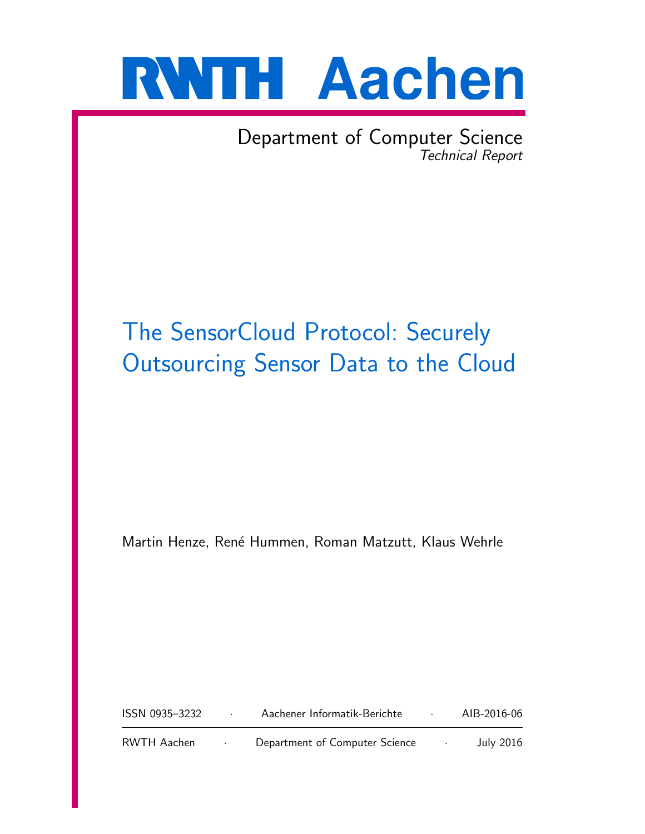

Department of Computer Science Technical Report

# The SensorCloud Protocol: Securely Outsourcing Sensor Data to the Cloud

Martin Henze, René Hummen, Roman Matzutt, Klaus Wehrle

| ISSN 0935-3232 | Aachener Informatik-Berichte   | AIB-2016-06      |
|----------------|--------------------------------|------------------|
| RWTH Aachen    | Department of Computer Science | <b>July 2016</b> |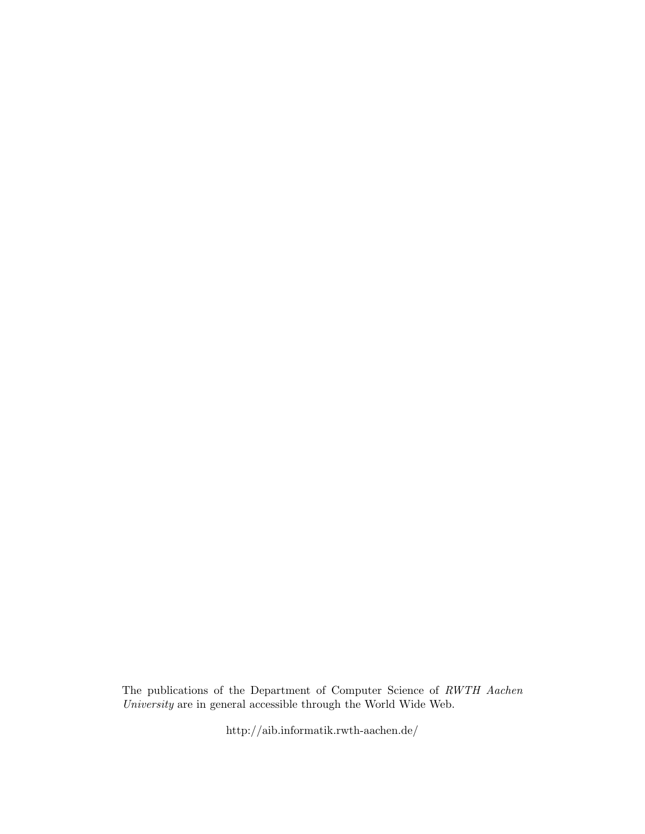The publications of the Department of Computer Science of RWTH Aachen  $University$  are in general accessible through the World Wide Web.

http://aib.informatik.rwth-aachen.de/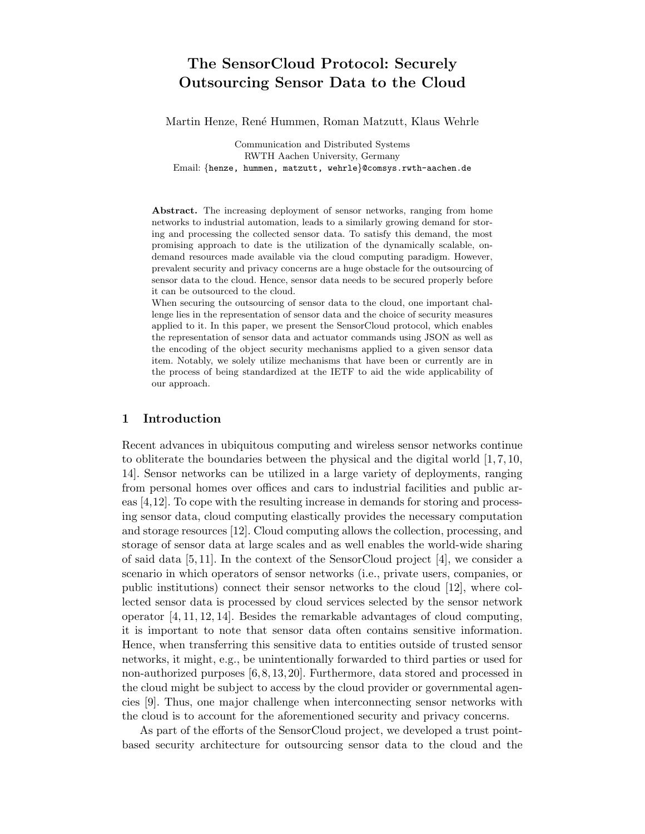## The SensorCloud Protocol: Securely Outsourcing Sensor Data to the Cloud

Martin Henze, Ren´e Hummen, Roman Matzutt, Klaus Wehrle

Communication and Distributed Systems RWTH Aachen University, Germany Email: {henze, hummen, matzutt, wehrle}@comsys.rwth-aachen.de

Abstract. The increasing deployment of sensor networks, ranging from home networks to industrial automation, leads to a similarly growing demand for storing and processing the collected sensor data. To satisfy this demand, the most promising approach to date is the utilization of the dynamically scalable, ondemand resources made available via the cloud computing paradigm. However, prevalent security and privacy concerns are a huge obstacle for the outsourcing of sensor data to the cloud. Hence, sensor data needs to be secured properly before it can be outsourced to the cloud.

When securing the outsourcing of sensor data to the cloud, one important challenge lies in the representation of sensor data and the choice of security measures applied to it. In this paper, we present the SensorCloud protocol, which enables the representation of sensor data and actuator commands using JSON as well as the encoding of the object security mechanisms applied to a given sensor data item. Notably, we solely utilize mechanisms that have been or currently are in the process of being standardized at the IETF to aid the wide applicability of our approach.

#### 1 Introduction

Recent advances in ubiquitous computing and wireless sensor networks continue to obliterate the boundaries between the physical and the digital world  $[1, 7, 10,$ 14]. Sensor networks can be utilized in a large variety of deployments, ranging from personal homes over offices and cars to industrial facilities and public areas [4,12]. To cope with the resulting increase in demands for storing and processing sensor data, cloud computing elastically provides the necessary computation and storage resources [12]. Cloud computing allows the collection, processing, and storage of sensor data at large scales and as well enables the world-wide sharing of said data [5, 11]. In the context of the SensorCloud project [4], we consider a scenario in which operators of sensor networks (i.e., private users, companies, or public institutions) connect their sensor networks to the cloud [12], where collected sensor data is processed by cloud services selected by the sensor network operator [4, 11, 12, 14]. Besides the remarkable advantages of cloud computing, it is important to note that sensor data often contains sensitive information. Hence, when transferring this sensitive data to entities outside of trusted sensor networks, it might, e.g., be unintentionally forwarded to third parties or used for non-authorized purposes [6, 8, 13, 20]. Furthermore, data stored and processed in the cloud might be subject to access by the cloud provider or governmental agencies [9]. Thus, one major challenge when interconnecting sensor networks with the cloud is to account for the aforementioned security and privacy concerns.

As part of the efforts of the SensorCloud project, we developed a trust pointbased security architecture for outsourcing sensor data to the cloud and the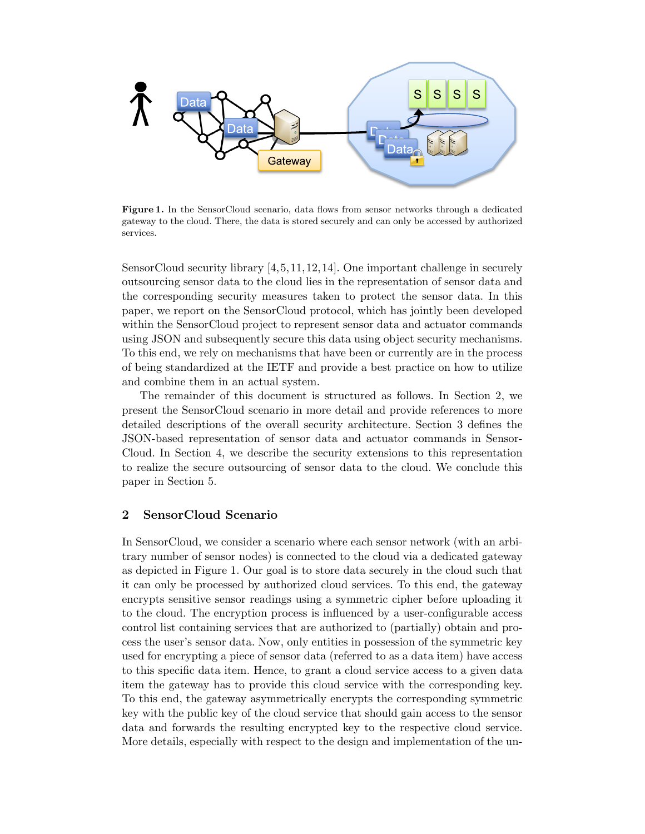

Figure 1. In the SensorCloud scenario, data flows from sensor networks through a dedicated gateway to the cloud. There, the data is stored securely and can only be accessed by authorized services.

SensorCloud security library [4,5,11,12,14]. One important challenge in securely outsourcing sensor data to the cloud lies in the representation of sensor data and the corresponding security measures taken to protect the sensor data. In this paper, we report on the SensorCloud protocol, which has jointly been developed within the SensorCloud project to represent sensor data and actuator commands using JSON and subsequently secure this data using object security mechanisms. To this end, we rely on mechanisms that have been or currently are in the process of being standardized at the IETF and provide a best practice on how to utilize and combine them in an actual system.

The remainder of this document is structured as follows. In Section 2, we present the SensorCloud scenario in more detail and provide references to more detailed descriptions of the overall security architecture. Section 3 defines the JSON-based representation of sensor data and actuator commands in Sensor-Cloud. In Section 4, we describe the security extensions to this representation to realize the secure outsourcing of sensor data to the cloud. We conclude this paper in Section 5.

## 2 SensorCloud Scenario

In SensorCloud, we consider a scenario where each sensor network (with an arbitrary number of sensor nodes) is connected to the cloud via a dedicated gateway as depicted in Figure 1. Our goal is to store data securely in the cloud such that it can only be processed by authorized cloud services. To this end, the gateway encrypts sensitive sensor readings using a symmetric cipher before uploading it to the cloud. The encryption process is influenced by a user-configurable access control list containing services that are authorized to (partially) obtain and process the user's sensor data. Now, only entities in possession of the symmetric key used for encrypting a piece of sensor data (referred to as a data item) have access to this specific data item. Hence, to grant a cloud service access to a given data item the gateway has to provide this cloud service with the corresponding key. To this end, the gateway asymmetrically encrypts the corresponding symmetric key with the public key of the cloud service that should gain access to the sensor data and forwards the resulting encrypted key to the respective cloud service. More details, especially with respect to the design and implementation of the un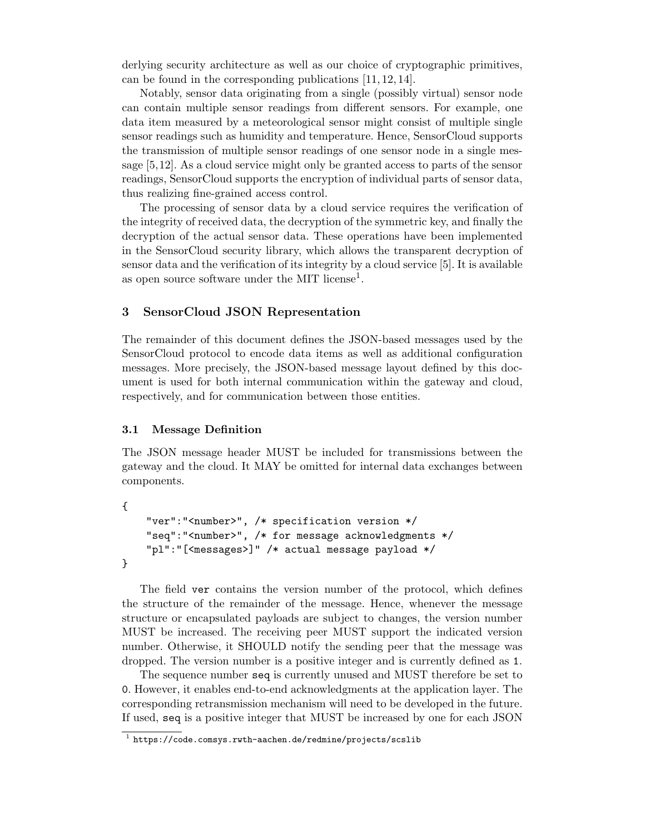derlying security architecture as well as our choice of cryptographic primitives, can be found in the corresponding publications [11, 12, 14].

Notably, sensor data originating from a single (possibly virtual) sensor node can contain multiple sensor readings from different sensors. For example, one data item measured by a meteorological sensor might consist of multiple single sensor readings such as humidity and temperature. Hence, SensorCloud supports the transmission of multiple sensor readings of one sensor node in a single message [5,12]. As a cloud service might only be granted access to parts of the sensor readings, SensorCloud supports the encryption of individual parts of sensor data, thus realizing fine-grained access control.

The processing of sensor data by a cloud service requires the verification of the integrity of received data, the decryption of the symmetric key, and finally the decryption of the actual sensor data. These operations have been implemented in the SensorCloud security library, which allows the transparent decryption of sensor data and the verification of its integrity by a cloud service [5]. It is available as open source software under the MIT license<sup>1</sup>.

## 3 SensorCloud JSON Representation

The remainder of this document defines the JSON-based messages used by the SensorCloud protocol to encode data items as well as additional configuration messages. More precisely, the JSON-based message layout defined by this document is used for both internal communication within the gateway and cloud, respectively, and for communication between those entities.

#### 3.1 Message Definition

The JSON message header MUST be included for transmissions between the gateway and the cloud. It MAY be omitted for internal data exchanges between components.

```
{
    "ver":"<number>", /* specification version */
    "seq":"<number>", /* for message acknowledgments */
    "pl":"[<messages>]" /* actual message payload */
}
```
The field ver contains the version number of the protocol, which defines the structure of the remainder of the message. Hence, whenever the message structure or encapsulated payloads are subject to changes, the version number MUST be increased. The receiving peer MUST support the indicated version number. Otherwise, it SHOULD notify the sending peer that the message was dropped. The version number is a positive integer and is currently defined as 1.

The sequence number seq is currently unused and MUST therefore be set to 0. However, it enables end-to-end acknowledgments at the application layer. The corresponding retransmission mechanism will need to be developed in the future. If used, seq is a positive integer that MUST be increased by one for each JSON

 $^{\rm 1}$  https://code.comsys.rwth-aachen.de/redmine/projects/scslib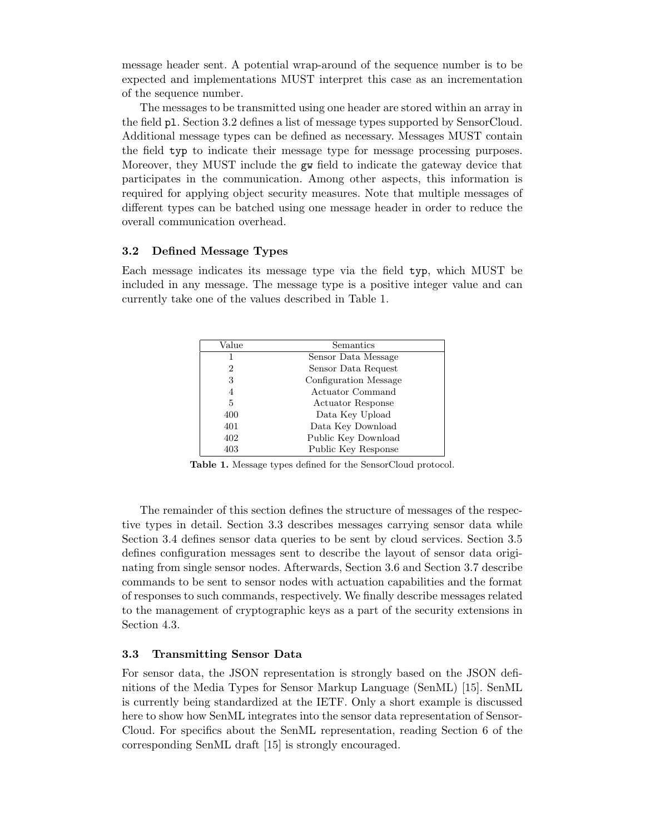message header sent. A potential wrap-around of the sequence number is to be expected and implementations MUST interpret this case as an incrementation of the sequence number.

The messages to be transmitted using one header are stored within an array in the field pl. Section 3.2 defines a list of message types supported by SensorCloud. Additional message types can be defined as necessary. Messages MUST contain the field typ to indicate their message type for message processing purposes. Moreover, they MUST include the gw field to indicate the gateway device that participates in the communication. Among other aspects, this information is required for applying object security measures. Note that multiple messages of different types can be batched using one message header in order to reduce the overall communication overhead.

## 3.2 Defined Message Types

Each message indicates its message type via the field typ, which MUST be included in any message. The message type is a positive integer value and can currently take one of the values described in Table 1.

| Value | Semantics                |
|-------|--------------------------|
| 1     | Sensor Data Message      |
| 2     | Sensor Data Request      |
| 3     | Configuration Message    |
| 4     | Actuator Command         |
| 5     | <b>Actuator Response</b> |
| 400   | Data Key Upload          |
| 401   | Data Key Download        |
| 402   | Public Key Download      |
| 403   | Public Key Response      |

Table 1. Message types defined for the SensorCloud protocol.

The remainder of this section defines the structure of messages of the respective types in detail. Section 3.3 describes messages carrying sensor data while Section 3.4 defines sensor data queries to be sent by cloud services. Section 3.5 defines configuration messages sent to describe the layout of sensor data originating from single sensor nodes. Afterwards, Section 3.6 and Section 3.7 describe commands to be sent to sensor nodes with actuation capabilities and the format of responses to such commands, respectively. We finally describe messages related to the management of cryptographic keys as a part of the security extensions in Section 4.3.

## 3.3 Transmitting Sensor Data

For sensor data, the JSON representation is strongly based on the JSON definitions of the Media Types for Sensor Markup Language (SenML) [15]. SenML is currently being standardized at the IETF. Only a short example is discussed here to show how SenML integrates into the sensor data representation of Sensor-Cloud. For specifics about the SenML representation, reading Section 6 of the corresponding SenML draft [15] is strongly encouraged.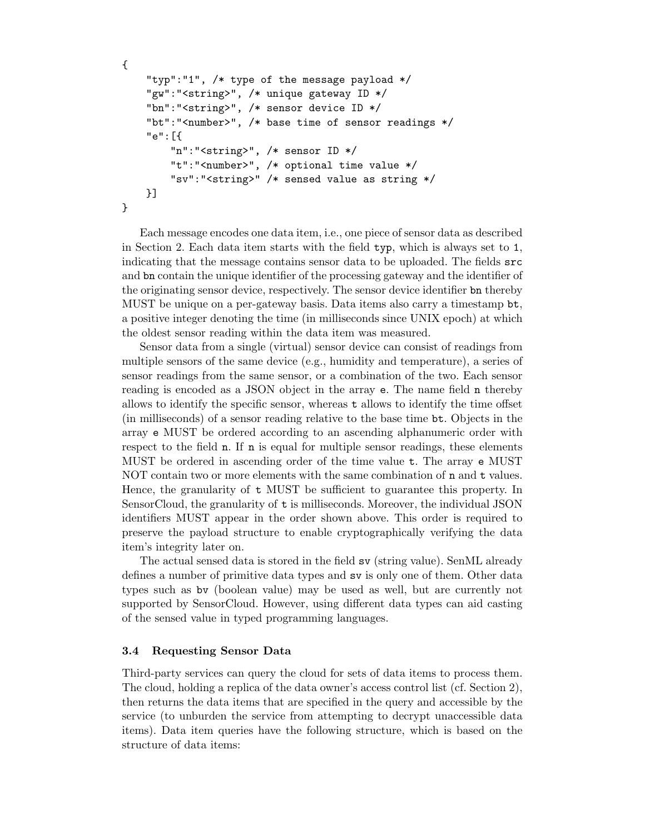```
{
    "typ":"1", /* type of the message payload */
    "gw":"<string>", /* unique gateway ID */
    "bn":"<string>", /* sensor device ID */
    "bt":"<number>", /* base time of sensor readings */
    "e":[{
        "n":"<string>", /* sensor ID */
        "t":"<number>", /* optional time value */
        "sv":"<string>" /* sensed value as string */
    }]
}
```
Each message encodes one data item, i.e., one piece of sensor data as described in Section 2. Each data item starts with the field typ, which is always set to 1, indicating that the message contains sensor data to be uploaded. The fields src and bn contain the unique identifier of the processing gateway and the identifier of the originating sensor device, respectively. The sensor device identifier bn thereby MUST be unique on a per-gateway basis. Data items also carry a timestamp bt, a positive integer denoting the time (in milliseconds since UNIX epoch) at which the oldest sensor reading within the data item was measured.

Sensor data from a single (virtual) sensor device can consist of readings from multiple sensors of the same device (e.g., humidity and temperature), a series of sensor readings from the same sensor, or a combination of the two. Each sensor reading is encoded as a JSON object in the array e. The name field n thereby allows to identify the specific sensor, whereas t allows to identify the time offset (in milliseconds) of a sensor reading relative to the base time bt. Objects in the array e MUST be ordered according to an ascending alphanumeric order with respect to the field **n**. If **n** is equal for multiple sensor readings, these elements MUST be ordered in ascending order of the time value t. The array e MUST NOT contain two or more elements with the same combination of n and t values. Hence, the granularity of t MUST be sufficient to guarantee this property. In SensorCloud, the granularity of t is milliseconds. Moreover, the individual JSON identifiers MUST appear in the order shown above. This order is required to preserve the payload structure to enable cryptographically verifying the data item's integrity later on.

The actual sensed data is stored in the field sv (string value). SenML already defines a number of primitive data types and sv is only one of them. Other data types such as bv (boolean value) may be used as well, but are currently not supported by SensorCloud. However, using different data types can aid casting of the sensed value in typed programming languages.

#### 3.4 Requesting Sensor Data

Third-party services can query the cloud for sets of data items to process them. The cloud, holding a replica of the data owner's access control list (cf. Section 2), then returns the data items that are specified in the query and accessible by the service (to unburden the service from attempting to decrypt unaccessible data items). Data item queries have the following structure, which is based on the structure of data items: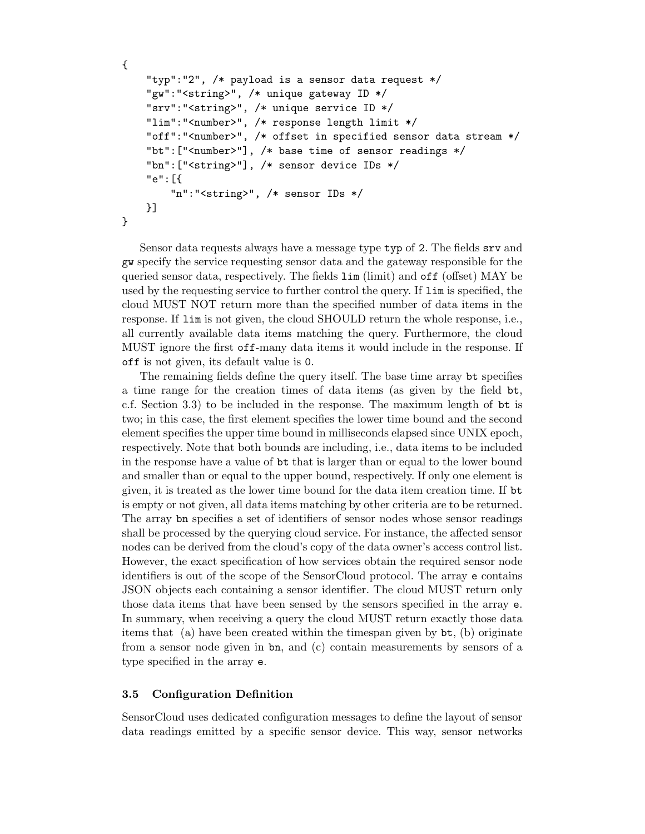```
{
    "typ":"2", /* payload is a sensor data request */
    "gw":"<string>", /* unique gateway ID */
    "srv":"<string>", /* unique service ID */
    "lim":"<number>", /* response length limit */
    "off":"<number>", /* offset in specified sensor data stream */
    "bt":["<number>"], /* base time of sensor readings */
    "bn":["<string>"], /* sensor device IDs */
    "e":[{
        "n":"<string>", /* sensor IDs */
    }]
}
```
Sensor data requests always have a message type typ of 2. The fields srv and gw specify the service requesting sensor data and the gateway responsible for the queried sensor data, respectively. The fields lim (limit) and off (offset) MAY be used by the requesting service to further control the query. If lim is specified, the cloud MUST NOT return more than the specified number of data items in the response. If lim is not given, the cloud SHOULD return the whole response, i.e., all currently available data items matching the query. Furthermore, the cloud MUST ignore the first off-many data items it would include in the response. If off is not given, its default value is 0.

The remaining fields define the query itself. The base time array bt specifies a time range for the creation times of data items (as given by the field bt, c.f. Section 3.3) to be included in the response. The maximum length of bt is two; in this case, the first element specifies the lower time bound and the second element specifies the upper time bound in milliseconds elapsed since UNIX epoch, respectively. Note that both bounds are including, i.e., data items to be included in the response have a value of bt that is larger than or equal to the lower bound and smaller than or equal to the upper bound, respectively. If only one element is given, it is treated as the lower time bound for the data item creation time. If bt is empty or not given, all data items matching by other criteria are to be returned. The array bn specifies a set of identifiers of sensor nodes whose sensor readings shall be processed by the querying cloud service. For instance, the affected sensor nodes can be derived from the cloud's copy of the data owner's access control list. However, the exact specification of how services obtain the required sensor node identifiers is out of the scope of the SensorCloud protocol. The array e contains JSON objects each containing a sensor identifier. The cloud MUST return only those data items that have been sensed by the sensors specified in the array e. In summary, when receiving a query the cloud MUST return exactly those data items that (a) have been created within the timespan given by bt, (b) originate from a sensor node given in bn, and (c) contain measurements by sensors of a type specified in the array e.

## 3.5 Configuration Definition

SensorCloud uses dedicated configuration messages to define the layout of sensor data readings emitted by a specific sensor device. This way, sensor networks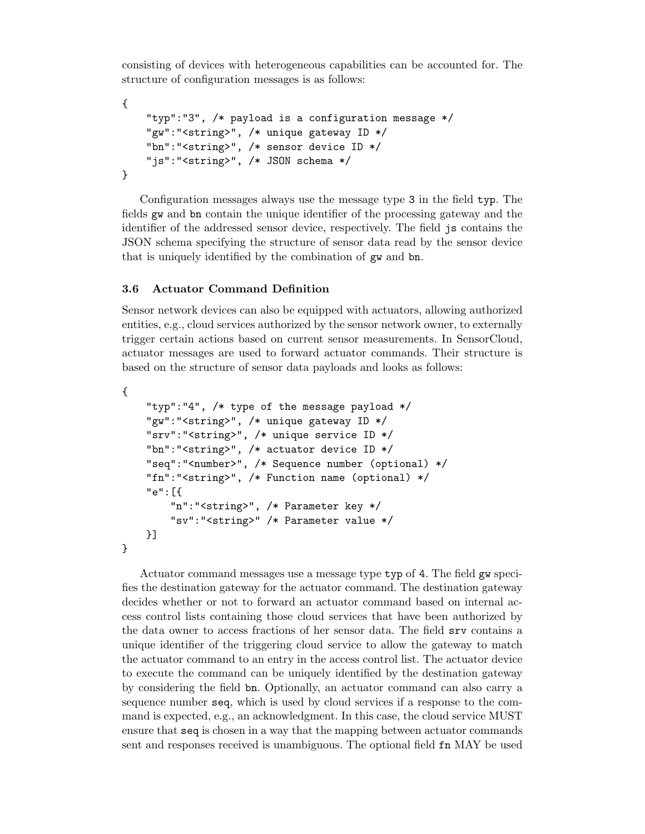consisting of devices with heterogeneous capabilities can be accounted for. The structure of configuration messages is as follows:

```
{
    "typ":"3", /* payload is a configuration message */
    "gw":"<string>", /* unique gateway ID */
    "bn":"<string>", /* sensor device ID */
    "js":"<string>", /* JSON schema */
}
```
Configuration messages always use the message type 3 in the field typ. The fields gw and bn contain the unique identifier of the processing gateway and the identifier of the addressed sensor device, respectively. The field js contains the JSON schema specifying the structure of sensor data read by the sensor device that is uniquely identified by the combination of gw and bn.

### 3.6 Actuator Command Definition

Sensor network devices can also be equipped with actuators, allowing authorized entities, e.g., cloud services authorized by the sensor network owner, to externally trigger certain actions based on current sensor measurements. In SensorCloud, actuator messages are used to forward actuator commands. Their structure is based on the structure of sensor data payloads and looks as follows:

```
{
    "typ":"4", /* type of the message payload */
    "gw":"<string>", /* unique gateway ID */
    "srv":"<string>", /* unique service ID */
    "bn":"<string>", /* actuator device ID */
    "seq":"<number>", /* Sequence number (optional) */
    "fn":"<string>", /* Function name (optional) */
    "e":[{
        "n":"<string>", /* Parameter key */
        "sv":"<string>" /* Parameter value */
    }]
}
```
Actuator command messages use a message type typ of 4. The field gw specifies the destination gateway for the actuator command. The destination gateway decides whether or not to forward an actuator command based on internal access control lists containing those cloud services that have been authorized by the data owner to access fractions of her sensor data. The field srv contains a unique identifier of the triggering cloud service to allow the gateway to match the actuator command to an entry in the access control list. The actuator device to execute the command can be uniquely identified by the destination gateway by considering the field bn. Optionally, an actuator command can also carry a sequence number seq, which is used by cloud services if a response to the command is expected, e.g., an acknowledgment. In this case, the cloud service MUST ensure that seq is chosen in a way that the mapping between actuator commands sent and responses received is unambiguous. The optional field fn MAY be used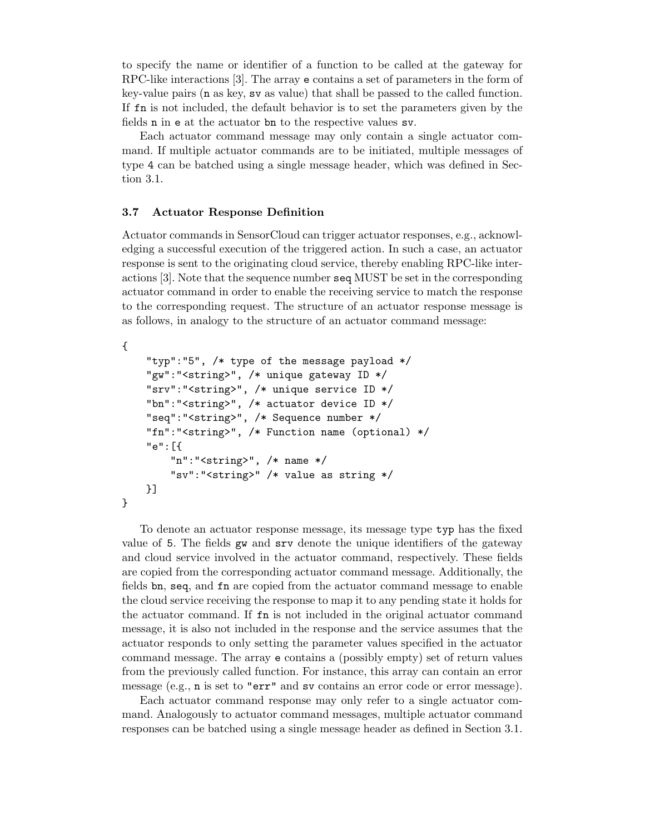to specify the name or identifier of a function to be called at the gateway for RPC-like interactions [3]. The array e contains a set of parameters in the form of key-value pairs (n as key, sv as value) that shall be passed to the called function. If fn is not included, the default behavior is to set the parameters given by the fields n in e at the actuator bn to the respective values sv.

Each actuator command message may only contain a single actuator command. If multiple actuator commands are to be initiated, multiple messages of type 4 can be batched using a single message header, which was defined in Section 3.1.

#### 3.7 Actuator Response Definition

Actuator commands in SensorCloud can trigger actuator responses, e.g., acknowledging a successful execution of the triggered action. In such a case, an actuator response is sent to the originating cloud service, thereby enabling RPC-like interactions [3]. Note that the sequence number seq MUST be set in the corresponding actuator command in order to enable the receiving service to match the response to the corresponding request. The structure of an actuator response message is as follows, in analogy to the structure of an actuator command message:

```
{
    "typ":"5", /* type of the message payload */
    "gw":"<string>", /* unique gateway ID */
    "srv":"<string>", /* unique service ID */
    "bn":"<string>", /* actuator device ID */
    "seq":"<string>", /* Sequence number */
    "fn":"<string>", /* Function name (optional) */
    "e":[{
        "n":"<string>", /* name */
        "sv":"<string>" /* value as string */
    }]
}
```
To denote an actuator response message, its message type typ has the fixed value of 5. The fields gw and srv denote the unique identifiers of the gateway and cloud service involved in the actuator command, respectively. These fields are copied from the corresponding actuator command message. Additionally, the fields bn, seq, and fn are copied from the actuator command message to enable the cloud service receiving the response to map it to any pending state it holds for the actuator command. If fn is not included in the original actuator command message, it is also not included in the response and the service assumes that the actuator responds to only setting the parameter values specified in the actuator command message. The array e contains a (possibly empty) set of return values from the previously called function. For instance, this array can contain an error message (e.g., n is set to "err" and sv contains an error code or error message).

Each actuator command response may only refer to a single actuator command. Analogously to actuator command messages, multiple actuator command responses can be batched using a single message header as defined in Section 3.1.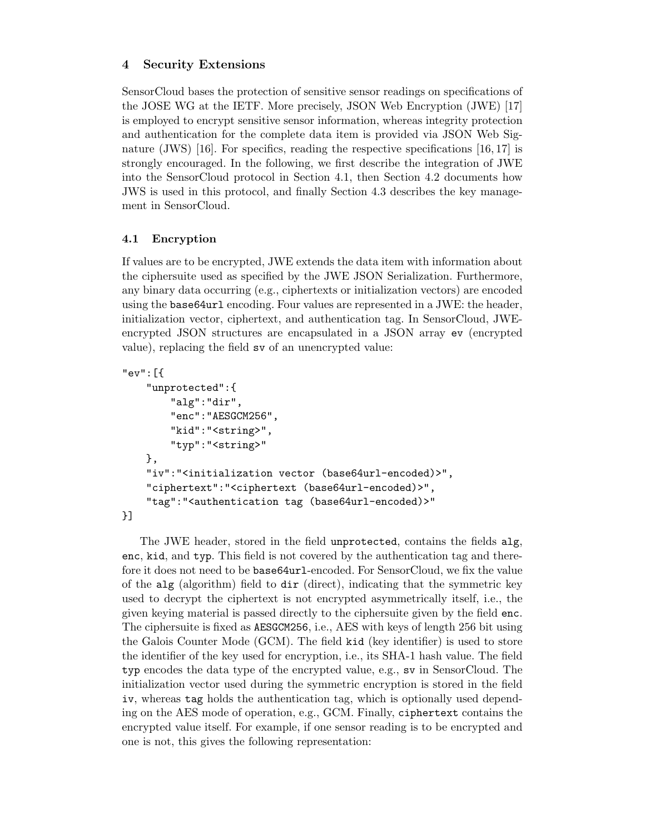## 4 Security Extensions

SensorCloud bases the protection of sensitive sensor readings on specifications of the JOSE WG at the IETF. More precisely, JSON Web Encryption (JWE) [17] is employed to encrypt sensitive sensor information, whereas integrity protection and authentication for the complete data item is provided via JSON Web Signature (JWS) [16]. For specifics, reading the respective specifications  $[16, 17]$  is strongly encouraged. In the following, we first describe the integration of JWE into the SensorCloud protocol in Section 4.1, then Section 4.2 documents how JWS is used in this protocol, and finally Section 4.3 describes the key management in SensorCloud.

## 4.1 Encryption

If values are to be encrypted, JWE extends the data item with information about the ciphersuite used as specified by the JWE JSON Serialization. Furthermore, any binary data occurring (e.g., ciphertexts or initialization vectors) are encoded using the base64url encoding. Four values are represented in a JWE: the header, initialization vector, ciphertext, and authentication tag. In SensorCloud, JWEencrypted JSON structures are encapsulated in a JSON array ev (encrypted value), replacing the field sv of an unencrypted value:

```
"ev":[{
    "unprotected":{
        "alg":"dir",
        "enc":"AESGCM256",
        "kid":"<string>",
        "typ":"<string>"
    },
    "iv":"<initialization vector (base64url-encoded)>",
    "ciphertext":"<ciphertext (base64url-encoded)>",
    "tag":"<authentication tag (base64url-encoded)>"
}]
```
The JWE header, stored in the field unprotected, contains the fields alg, enc, kid, and typ. This field is not covered by the authentication tag and therefore it does not need to be base64url-encoded. For SensorCloud, we fix the value of the alg (algorithm) field to dir (direct), indicating that the symmetric key used to decrypt the ciphertext is not encrypted asymmetrically itself, i.e., the given keying material is passed directly to the ciphersuite given by the field enc. The ciphersuite is fixed as AESGCM256, i.e., AES with keys of length 256 bit using the Galois Counter Mode (GCM). The field kid (key identifier) is used to store the identifier of the key used for encryption, i.e., its SHA-1 hash value. The field typ encodes the data type of the encrypted value, e.g., sv in SensorCloud. The initialization vector used during the symmetric encryption is stored in the field iv, whereas tag holds the authentication tag, which is optionally used depending on the AES mode of operation, e.g., GCM. Finally, ciphertext contains the encrypted value itself. For example, if one sensor reading is to be encrypted and one is not, this gives the following representation: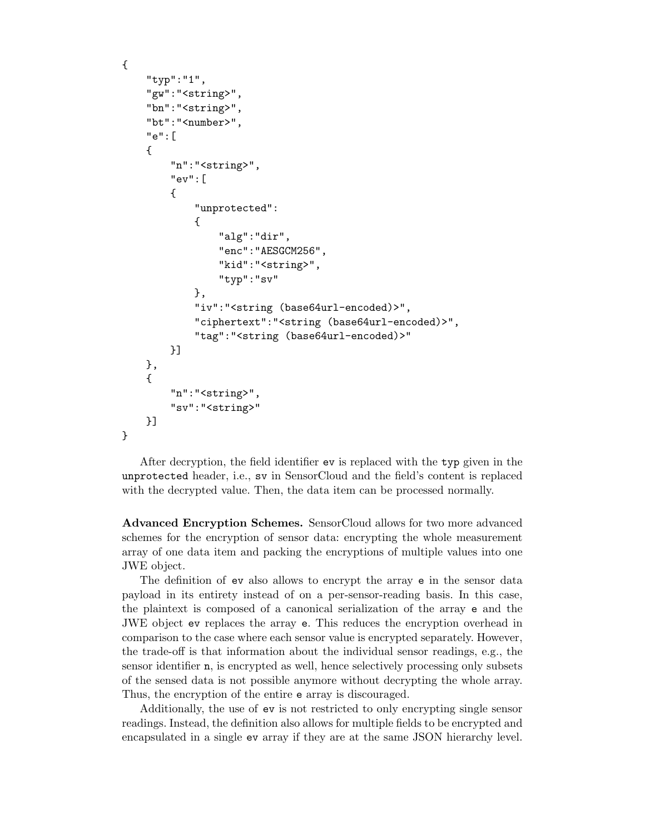```
{
    "typ":"1",
    "gw":"<string>",
    "bn":"<string>",
    "bt":"<number>",
    "e":[
    {
        "n":"<string>",
        "ev":[
        {
             "unprotected":
            {
                 "alg":"dir",
                 "enc":"AESGCM256",
                 "kid":"<string>",
                 "typ":"sv"
            },
            "iv":"<string (base64url-encoded)>",
            "ciphertext":"<string (base64url-encoded)>",
             "tag":"<string (base64url-encoded)>"
        }]
    },
    {
        "n":"<string>",
        "sv":"<string>"
    }]
}
```
After decryption, the field identifier ev is replaced with the typ given in the unprotected header, i.e., sv in SensorCloud and the field's content is replaced with the decrypted value. Then, the data item can be processed normally.

Advanced Encryption Schemes. SensorCloud allows for two more advanced schemes for the encryption of sensor data: encrypting the whole measurement array of one data item and packing the encryptions of multiple values into one JWE object.

The definition of ev also allows to encrypt the array e in the sensor data payload in its entirety instead of on a per-sensor-reading basis. In this case, the plaintext is composed of a canonical serialization of the array e and the JWE object ev replaces the array e. This reduces the encryption overhead in comparison to the case where each sensor value is encrypted separately. However, the trade-off is that information about the individual sensor readings, e.g., the sensor identifier n, is encrypted as well, hence selectively processing only subsets of the sensed data is not possible anymore without decrypting the whole array. Thus, the encryption of the entire e array is discouraged.

Additionally, the use of ev is not restricted to only encrypting single sensor readings. Instead, the definition also allows for multiple fields to be encrypted and encapsulated in a single ev array if they are at the same JSON hierarchy level.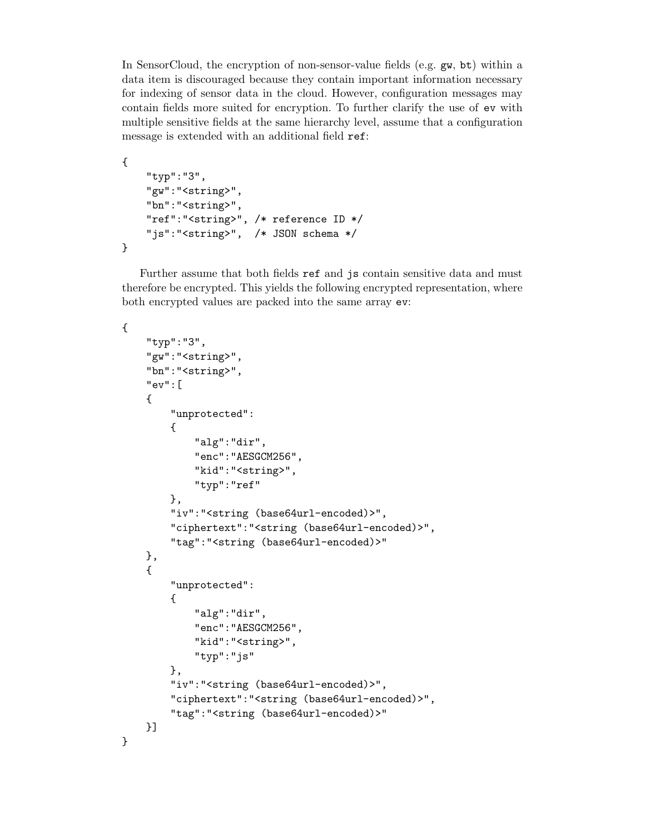In SensorCloud, the encryption of non-sensor-value fields (e.g. gw, bt) within a data item is discouraged because they contain important information necessary for indexing of sensor data in the cloud. However, configuration messages may contain fields more suited for encryption. To further clarify the use of ev with multiple sensitive fields at the same hierarchy level, assume that a configuration message is extended with an additional field ref:

```
{
    "typ":"3",
    "gw":"<string>",
    "bn":"<string>",
    "ref":"<string>", /* reference ID */
    "js":"<string>", /* JSON schema */
}
```
Further assume that both fields ref and js contain sensitive data and must therefore be encrypted. This yields the following encrypted representation, where both encrypted values are packed into the same array ev:

```
{
    "typ":"3",
    "gw":"<string>",
    "bn":"<string>",
    "ev":[
    {
        "unprotected":
        {
            "alg":"dir",
            "enc":"AESGCM256",
            "kid":"<string>",
            "typ":"ref"
        },
        "iv":"<string (base64url-encoded)>",
        "ciphertext":"<string (base64url-encoded)>",
        "tag":"<string (base64url-encoded)>"
    },
    {
        "unprotected":
        {
            "alg":"dir",
            "enc":"AESGCM256",
            "kid":"<string>",
            "typ":"js"
        },
        "iv":"<string (base64url-encoded)>",
        "ciphertext":"<string (base64url-encoded)>",
        "tag":"<string (base64url-encoded)>"
    }]
}
```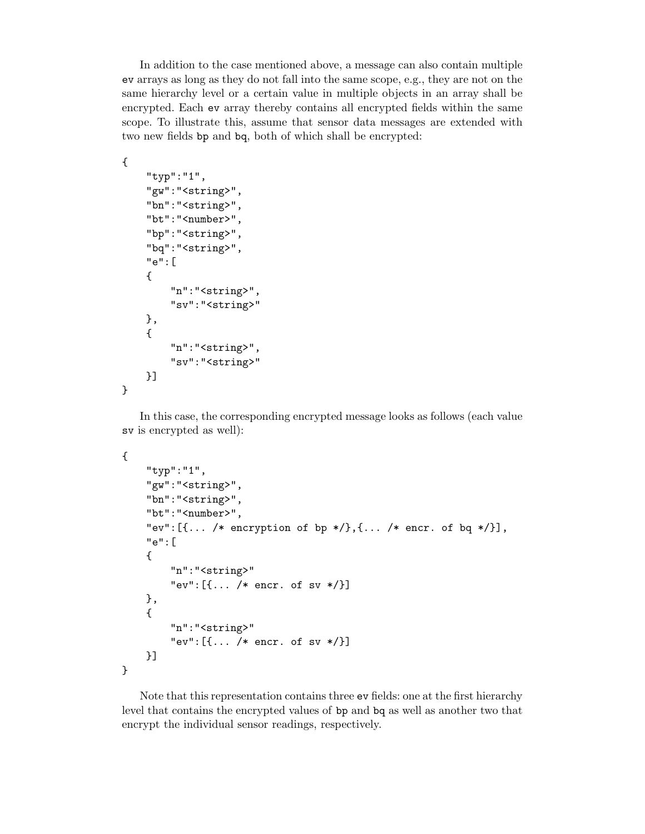In addition to the case mentioned above, a message can also contain multiple ev arrays as long as they do not fall into the same scope, e.g., they are not on the same hierarchy level or a certain value in multiple objects in an array shall be encrypted. Each ev array thereby contains all encrypted fields within the same scope. To illustrate this, assume that sensor data messages are extended with two new fields bp and bq, both of which shall be encrypted:

```
"typ":"1",
"gw":"<string>",
"bn":"<string>",
"bt":"<number>",
"bp":"<string>",
"bq":"<string>",
"e":[
{
    "n":"<string>",
    "sv":"<string>"
},
{
    "n":"<string>",
    "sv":"<string>"
}]
```
{

}

In this case, the corresponding encrypted message looks as follows (each value sv is encrypted as well):

```
{
    "typ":"1",
    "gw":"<string>",
    "bn":"<string>",
    "bt":"<number>",
    "ev":[{\ldots / *} encryption of bp */},{\ldots / *} encr. of bq */}],
    "e":[
    {
        "n":"<string>"
        "ev":[{... /* encr. of sv */}]
    },
    {
        "n":"<string>"
        "ev":[{... /* encr. of sv */}]
    }]
}
```
Note that this representation contains three ev fields: one at the first hierarchy level that contains the encrypted values of bp and bq as well as another two that encrypt the individual sensor readings, respectively.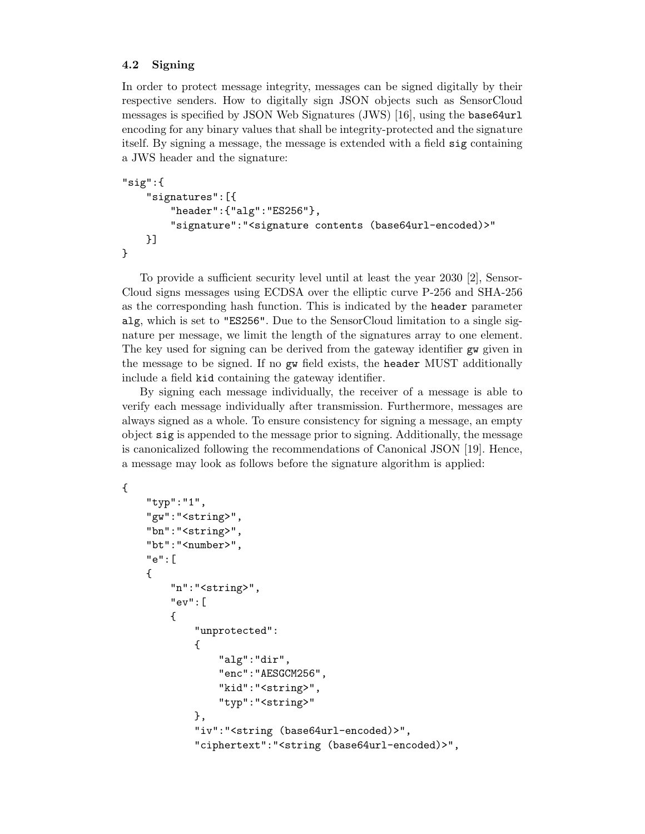## 4.2 Signing

In order to protect message integrity, messages can be signed digitally by their respective senders. How to digitally sign JSON objects such as SensorCloud messages is specified by JSON Web Signatures (JWS) [16], using the base64url encoding for any binary values that shall be integrity-protected and the signature itself. By signing a message, the message is extended with a field sig containing a JWS header and the signature:

```
"sig":{
    "signatures":[{
        "header":{"alg":"ES256"},
        "signature":"<signature contents (base64url-encoded)>"
    }]
}
```
To provide a sufficient security level until at least the year 2030 [2], Sensor-Cloud signs messages using ECDSA over the elliptic curve P-256 and SHA-256 as the corresponding hash function. This is indicated by the header parameter alg, which is set to "ES256". Due to the SensorCloud limitation to a single signature per message, we limit the length of the signatures array to one element. The key used for signing can be derived from the gateway identifier gw given in the message to be signed. If no gw field exists, the header MUST additionally include a field kid containing the gateway identifier.

By signing each message individually, the receiver of a message is able to verify each message individually after transmission. Furthermore, messages are always signed as a whole. To ensure consistency for signing a message, an empty object sig is appended to the message prior to signing. Additionally, the message is canonicalized following the recommendations of Canonical JSON [19]. Hence, a message may look as follows before the signature algorithm is applied:

{

```
"typ":"1",
"gw":"<string>",
"bn":"<string>",
"bt":"<number>",
"e":[
{
    "n":"<string>",
    "ev":[
    {
        "unprotected":
        {
            "alg":"dir",
            "enc":"AESGCM256",
            "kid":"<string>",
            "typ":"<string>"
        },
        "iv":"<string (base64url-encoded)>",
        "ciphertext":"<string (base64url-encoded)>",
```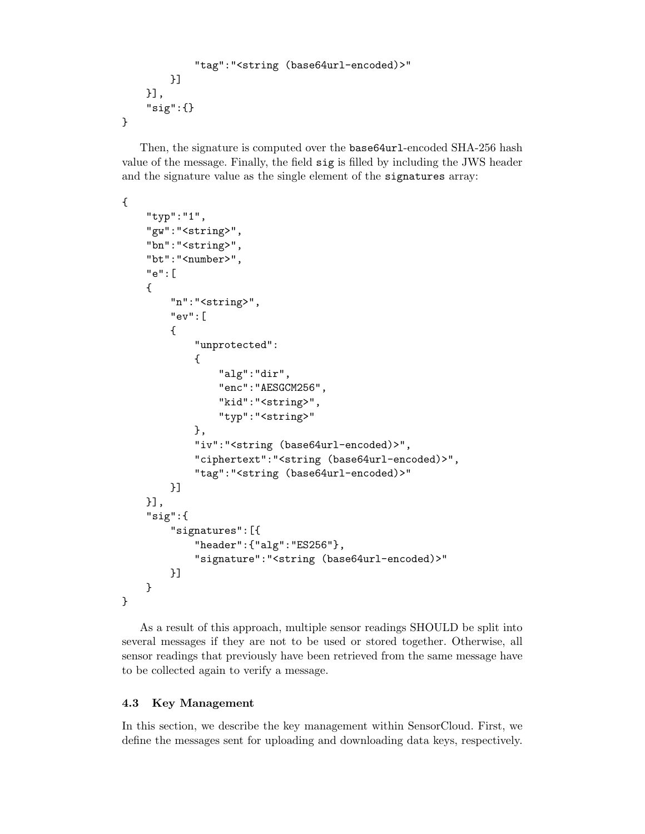```
"tag":"<string (base64url-encoded)>"
        }]
    }],
    "sig":{}
}
```
Then, the signature is computed over the base64url-encoded SHA-256 hash value of the message. Finally, the field sig is filled by including the JWS header and the signature value as the single element of the signatures array:

```
{
```

```
"typ":"1",
    "gw":"<string>",
    "bn":"<string>",
    "bt":"<number>",
    "e":[
    {
        "n":"<string>",
        "ev":[
        {
             "unprotected":
            {
                 "alg":"dir",
                 "enc":"AESGCM256",
                 "kid":"<string>",
                 "typ":"<string>"
            },
            "iv":"<string (base64url-encoded)>",
            "ciphertext":"<string (base64url-encoded)>",
            "tag":"<string (base64url-encoded)>"
        }]
    }],
    "sig":{
        "signatures":[{
             "header":{"alg":"ES256"},
             "signature":"<string (base64url-encoded)>"
        }]
    }
}
```
As a result of this approach, multiple sensor readings SHOULD be split into several messages if they are not to be used or stored together. Otherwise, all sensor readings that previously have been retrieved from the same message have to be collected again to verify a message.

## 4.3 Key Management

In this section, we describe the key management within SensorCloud. First, we define the messages sent for uploading and downloading data keys, respectively.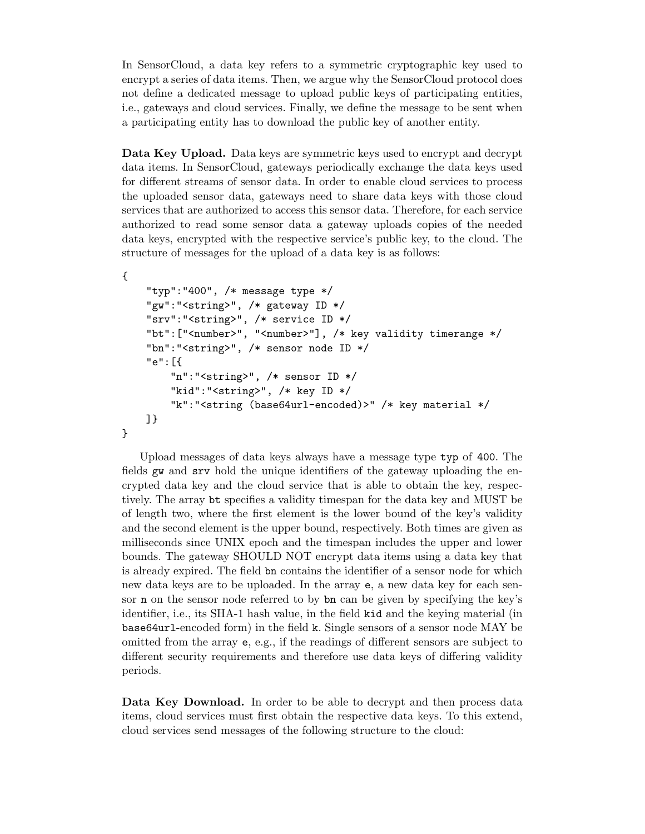In SensorCloud, a data key refers to a symmetric cryptographic key used to encrypt a series of data items. Then, we argue why the SensorCloud protocol does not define a dedicated message to upload public keys of participating entities, i.e., gateways and cloud services. Finally, we define the message to be sent when a participating entity has to download the public key of another entity.

Data Key Upload. Data keys are symmetric keys used to encrypt and decrypt data items. In SensorCloud, gateways periodically exchange the data keys used for different streams of sensor data. In order to enable cloud services to process the uploaded sensor data, gateways need to share data keys with those cloud services that are authorized to access this sensor data. Therefore, for each service authorized to read some sensor data a gateway uploads copies of the needed data keys, encrypted with the respective service's public key, to the cloud. The structure of messages for the upload of a data key is as follows:

```
{
    "typ":"400", /* message type */
    "gw":"<string>", /* gateway ID */
    "srv":"<string>", /* service ID */
    "bt": ["<number>", "<number>"], /* key validity timerange */
    "bn":"<string>", /* sensor node ID */
    "e":[{
        "n":"<string>", /* sensor ID */
        "kid":"<string>", /* key ID */
        "k":"<string (base64url-encoded)>" /* key material */
   ]}
```
}

Upload messages of data keys always have a message type typ of 400. The fields gw and srv hold the unique identifiers of the gateway uploading the encrypted data key and the cloud service that is able to obtain the key, respectively. The array bt specifies a validity timespan for the data key and MUST be of length two, where the first element is the lower bound of the key's validity and the second element is the upper bound, respectively. Both times are given as milliseconds since UNIX epoch and the timespan includes the upper and lower bounds. The gateway SHOULD NOT encrypt data items using a data key that is already expired. The field bn contains the identifier of a sensor node for which new data keys are to be uploaded. In the array e, a new data key for each sensor n on the sensor node referred to by bn can be given by specifying the key's identifier, i.e., its SHA-1 hash value, in the field kid and the keying material (in base64url-encoded form) in the field k. Single sensors of a sensor node MAY be omitted from the array e, e.g., if the readings of different sensors are subject to different security requirements and therefore use data keys of differing validity periods.

Data Key Download. In order to be able to decrypt and then process data items, cloud services must first obtain the respective data keys. To this extend, cloud services send messages of the following structure to the cloud: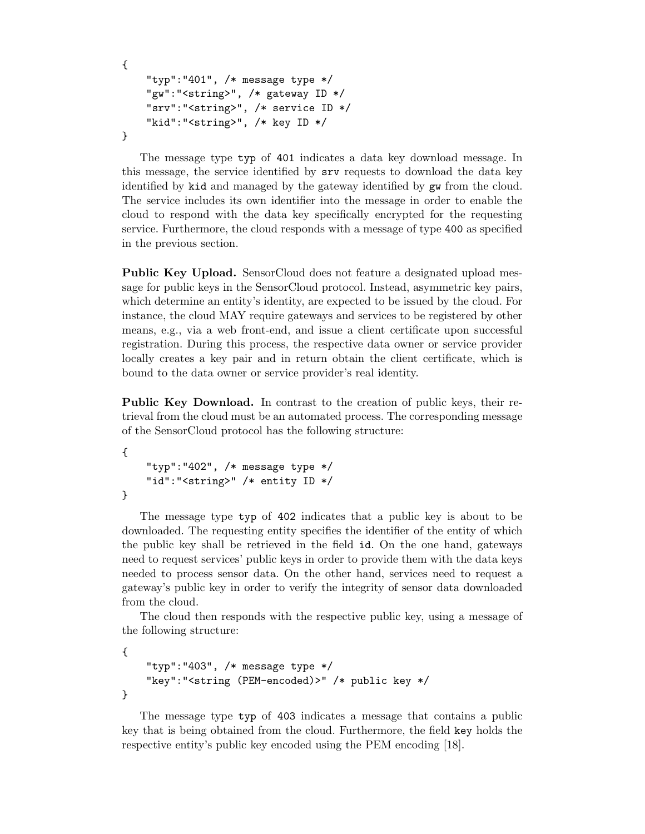```
{
    "typ":"401", /* message type */
    "gw":"<string>", /* gateway ID */
    "srv":"<string>", /* service ID */
    "kid":"<string>", /* key ID */
}
```
The message type typ of 401 indicates a data key download message. In this message, the service identified by srv requests to download the data key identified by kid and managed by the gateway identified by gw from the cloud. The service includes its own identifier into the message in order to enable the cloud to respond with the data key specifically encrypted for the requesting service. Furthermore, the cloud responds with a message of type 400 as specified in the previous section.

Public Key Upload. SensorCloud does not feature a designated upload message for public keys in the SensorCloud protocol. Instead, asymmetric key pairs, which determine an entity's identity, are expected to be issued by the cloud. For instance, the cloud MAY require gateways and services to be registered by other means, e.g., via a web front-end, and issue a client certificate upon successful registration. During this process, the respective data owner or service provider locally creates a key pair and in return obtain the client certificate, which is bound to the data owner or service provider's real identity.

Public Key Download. In contrast to the creation of public keys, their retrieval from the cloud must be an automated process. The corresponding message of the SensorCloud protocol has the following structure:

```
{
    "typ":"402", /* message type */
    "id":"<string>" /* entity ID */
}
```
The message type typ of 402 indicates that a public key is about to be downloaded. The requesting entity specifies the identifier of the entity of which the public key shall be retrieved in the field id. On the one hand, gateways need to request services' public keys in order to provide them with the data keys needed to process sensor data. On the other hand, services need to request a gateway's public key in order to verify the integrity of sensor data downloaded from the cloud.

The cloud then responds with the respective public key, using a message of the following structure:

```
{
    "typ":"403", /* message type */
    "key":"<string (PEM-encoded)>" /* public key */
}
```
The message type typ of 403 indicates a message that contains a public key that is being obtained from the cloud. Furthermore, the field key holds the respective entity's public key encoded using the PEM encoding [18].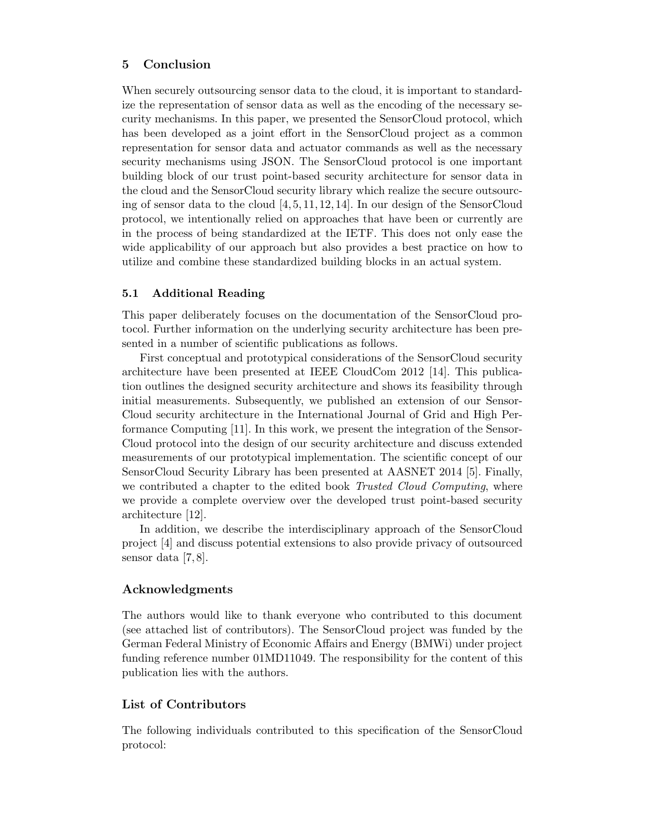## 5 Conclusion

When securely outsourcing sensor data to the cloud, it is important to standardize the representation of sensor data as well as the encoding of the necessary security mechanisms. In this paper, we presented the SensorCloud protocol, which has been developed as a joint effort in the SensorCloud project as a common representation for sensor data and actuator commands as well as the necessary security mechanisms using JSON. The SensorCloud protocol is one important building block of our trust point-based security architecture for sensor data in the cloud and the SensorCloud security library which realize the secure outsourcing of sensor data to the cloud [4, 5, 11, 12, 14]. In our design of the SensorCloud protocol, we intentionally relied on approaches that have been or currently are in the process of being standardized at the IETF. This does not only ease the wide applicability of our approach but also provides a best practice on how to utilize and combine these standardized building blocks in an actual system.

## 5.1 Additional Reading

This paper deliberately focuses on the documentation of the SensorCloud protocol. Further information on the underlying security architecture has been presented in a number of scientific publications as follows.

First conceptual and prototypical considerations of the SensorCloud security architecture have been presented at IEEE CloudCom 2012 [14]. This publication outlines the designed security architecture and shows its feasibility through initial measurements. Subsequently, we published an extension of our Sensor-Cloud security architecture in the International Journal of Grid and High Performance Computing [11]. In this work, we present the integration of the Sensor-Cloud protocol into the design of our security architecture and discuss extended measurements of our prototypical implementation. The scientific concept of our SensorCloud Security Library has been presented at AASNET 2014 [5]. Finally, we contributed a chapter to the edited book Trusted Cloud Computing, where we provide a complete overview over the developed trust point-based security architecture [12].

In addition, we describe the interdisciplinary approach of the SensorCloud project [4] and discuss potential extensions to also provide privacy of outsourced sensor data [7, 8].

## Acknowledgments

The authors would like to thank everyone who contributed to this document (see attached list of contributors). The SensorCloud project was funded by the German Federal Ministry of Economic Affairs and Energy (BMWi) under project funding reference number 01MD11049. The responsibility for the content of this publication lies with the authors.

## List of Contributors

The following individuals contributed to this specification of the SensorCloud protocol: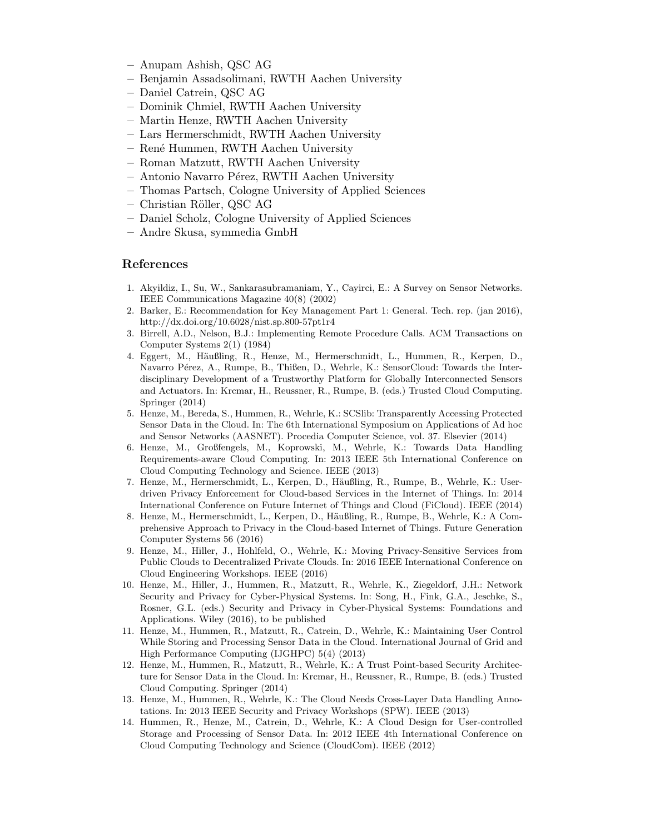- Anupam Ashish, QSC AG
- Benjamin Assadsolimani, RWTH Aachen University
- Daniel Catrein, QSC AG
- Dominik Chmiel, RWTH Aachen University
- Martin Henze, RWTH Aachen University
- Lars Hermerschmidt, RWTH Aachen University
- Ren´e Hummen, RWTH Aachen University
- Roman Matzutt, RWTH Aachen University
- Antonio Navarro P´erez, RWTH Aachen University
- Thomas Partsch, Cologne University of Applied Sciences
- Christian R¨oller, QSC AG
- Daniel Scholz, Cologne University of Applied Sciences
- Andre Skusa, symmedia GmbH

#### References

- 1. Akyildiz, I., Su, W., Sankarasubramaniam, Y., Cayirci, E.: A Survey on Sensor Networks. IEEE Communications Magazine 40(8) (2002)
- 2. Barker, E.: Recommendation for Key Management Part 1: General. Tech. rep. (jan 2016), http://dx.doi.org/10.6028/nist.sp.800-57pt1r4
- 3. Birrell, A.D., Nelson, B.J.: Implementing Remote Procedure Calls. ACM Transactions on Computer Systems 2(1) (1984)
- 4. Eggert, M., Häußling, R., Henze, M., Hermerschmidt, L., Hummen, R., Kerpen, D., Navarro Pérez, A., Rumpe, B., Thißen, D., Wehrle, K.: SensorCloud: Towards the Interdisciplinary Development of a Trustworthy Platform for Globally Interconnected Sensors and Actuators. In: Krcmar, H., Reussner, R., Rumpe, B. (eds.) Trusted Cloud Computing. Springer (2014)
- 5. Henze, M., Bereda, S., Hummen, R., Wehrle, K.: SCSlib: Transparently Accessing Protected Sensor Data in the Cloud. In: The 6th International Symposium on Applications of Ad hoc and Sensor Networks (AASNET). Procedia Computer Science, vol. 37. Elsevier (2014)
- 6. Henze, M., Großfengels, M., Koprowski, M., Wehrle, K.: Towards Data Handling Requirements-aware Cloud Computing. In: 2013 IEEE 5th International Conference on Cloud Computing Technology and Science. IEEE (2013)
- 7. Henze, M., Hermerschmidt, L., Kerpen, D., Häußling, R., Rumpe, B., Wehrle, K.: Userdriven Privacy Enforcement for Cloud-based Services in the Internet of Things. In: 2014 International Conference on Future Internet of Things and Cloud (FiCloud). IEEE (2014)
- 8. Henze, M., Hermerschmidt, L., Kerpen, D., Häußling, R., Rumpe, B., Wehrle, K.: A Comprehensive Approach to Privacy in the Cloud-based Internet of Things. Future Generation Computer Systems 56 (2016)
- 9. Henze, M., Hiller, J., Hohlfeld, O., Wehrle, K.: Moving Privacy-Sensitive Services from Public Clouds to Decentralized Private Clouds. In: 2016 IEEE International Conference on Cloud Engineering Workshops. IEEE (2016)
- 10. Henze, M., Hiller, J., Hummen, R., Matzutt, R., Wehrle, K., Ziegeldorf, J.H.: Network Security and Privacy for Cyber-Physical Systems. In: Song, H., Fink, G.A., Jeschke, S., Rosner, G.L. (eds.) Security and Privacy in Cyber-Physical Systems: Foundations and Applications. Wiley (2016), to be published
- 11. Henze, M., Hummen, R., Matzutt, R., Catrein, D., Wehrle, K.: Maintaining User Control While Storing and Processing Sensor Data in the Cloud. International Journal of Grid and High Performance Computing (IJGHPC) 5(4) (2013)
- 12. Henze, M., Hummen, R., Matzutt, R., Wehrle, K.: A Trust Point-based Security Architecture for Sensor Data in the Cloud. In: Krcmar, H., Reussner, R., Rumpe, B. (eds.) Trusted Cloud Computing. Springer (2014)
- 13. Henze, M., Hummen, R., Wehrle, K.: The Cloud Needs Cross-Layer Data Handling Annotations. In: 2013 IEEE Security and Privacy Workshops (SPW). IEEE (2013)
- 14. Hummen, R., Henze, M., Catrein, D., Wehrle, K.: A Cloud Design for User-controlled Storage and Processing of Sensor Data. In: 2012 IEEE 4th International Conference on Cloud Computing Technology and Science (CloudCom). IEEE (2012)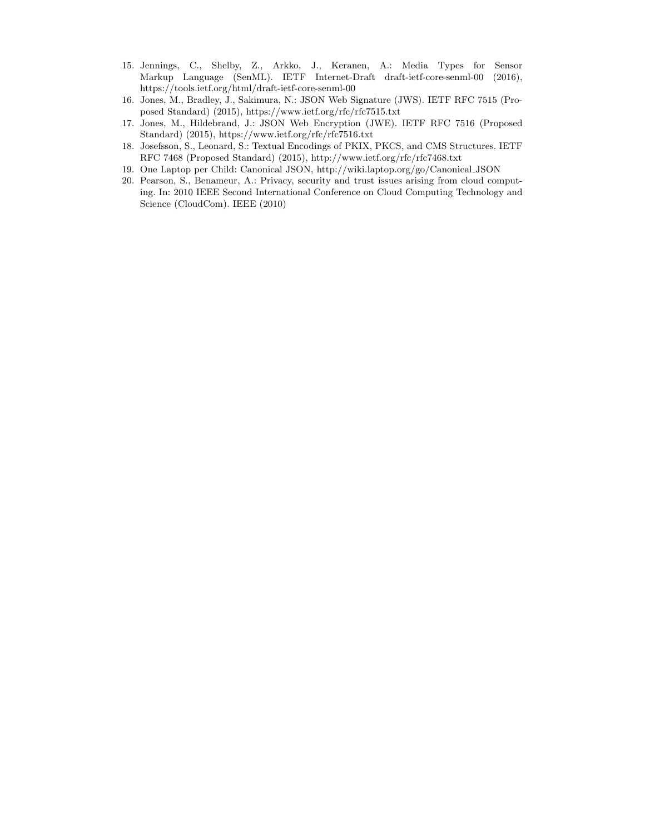- 15. Jennings, C., Shelby, Z., Arkko, J., Keranen, A.: Media Types for Sensor Markup Language (SenML). IETF Internet-Draft draft-ietf-core-senml-00 (2016), https://tools.ietf.org/html/draft-ietf-core-senml-00
- 16. Jones, M., Bradley, J., Sakimura, N.: JSON Web Signature (JWS). IETF RFC 7515 (Proposed Standard) (2015), https://www.ietf.org/rfc/rfc7515.txt
- 17. Jones, M., Hildebrand, J.: JSON Web Encryption (JWE). IETF RFC 7516 (Proposed Standard) (2015), https://www.ietf.org/rfc/rfc7516.txt
- 18. Josefsson, S., Leonard, S.: Textual Encodings of PKIX, PKCS, and CMS Structures. IETF RFC 7468 (Proposed Standard) (2015), http://www.ietf.org/rfc/rfc7468.txt
- 19. One Laptop per Child: Canonical JSON, http://wiki.laptop.org/go/Canonical JSON
- 20. Pearson, S., Benameur, A.: Privacy, security and trust issues arising from cloud computing. In: 2010 IEEE Second International Conference on Cloud Computing Technology and Science (CloudCom). IEEE (2010)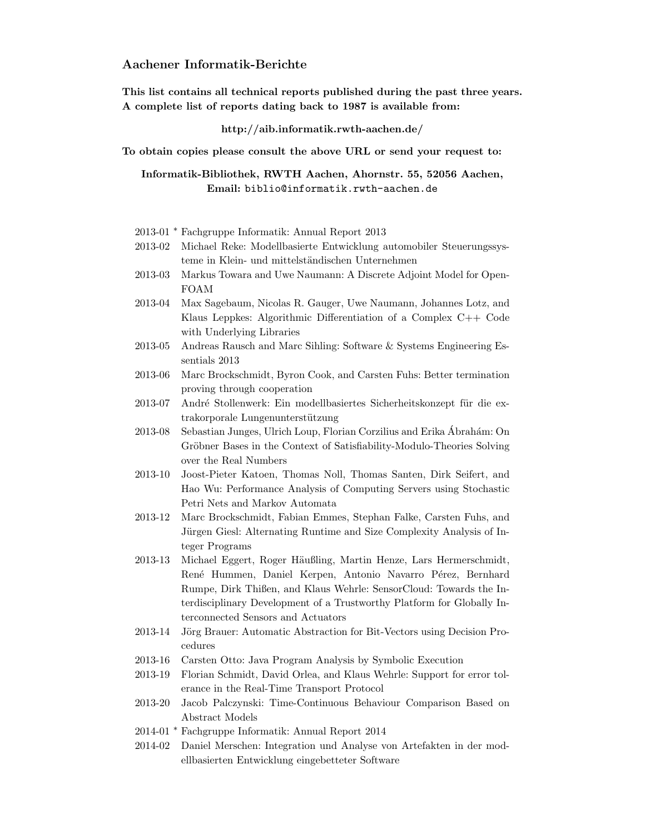## Aachener Informatik-Berichte

This list contains all technical reports published during the past three years. A complete list of reports dating back to 1987 is available from:

#### http://aib.informatik.rwth-aachen.de/

To obtain copies please consult the above URL or send your request to:

Informatik-Bibliothek, RWTH Aachen, Ahornstr. 55, 52056 Aachen, Email: biblio@informatik.rwth-aachen.de

- 2013-01 <sup>∗</sup> Fachgruppe Informatik: Annual Report 2013
- 2013-02 Michael Reke: Modellbasierte Entwicklung automobiler Steuerungssysteme in Klein- und mittelständischen Unternehmen
- 2013-03 Markus Towara and Uwe Naumann: A Discrete Adjoint Model for Open-FOAM
- 2013-04 Max Sagebaum, Nicolas R. Gauger, Uwe Naumann, Johannes Lotz, and Klaus Leppkes: Algorithmic Differentiation of a Complex C++ Code with Underlying Libraries
- 2013-05 Andreas Rausch and Marc Sihling: Software & Systems Engineering Essentials 2013
- 2013-06 Marc Brockschmidt, Byron Cook, and Carsten Fuhs: Better termination proving through cooperation
- 2013-07 André Stollenwerk: Ein modellbasiertes Sicherheitskonzept für die extrakorporale Lungenunterstützung
- 2013-08 Sebastian Junges, Ulrich Loup, Florian Corzilius and Erika Abrah´am: On ´ Gröbner Bases in the Context of Satisfiability-Modulo-Theories Solving over the Real Numbers
- 2013-10 Joost-Pieter Katoen, Thomas Noll, Thomas Santen, Dirk Seifert, and Hao Wu: Performance Analysis of Computing Servers using Stochastic Petri Nets and Markov Automata
- 2013-12 Marc Brockschmidt, Fabian Emmes, Stephan Falke, Carsten Fuhs, and Jürgen Giesl: Alternating Runtime and Size Complexity Analysis of Integer Programs
- 2013-13 Michael Eggert, Roger Häußling, Martin Henze, Lars Hermerschmidt, René Hummen, Daniel Kerpen, Antonio Navarro Pérez, Bernhard Rumpe, Dirk Thißen, and Klaus Wehrle: SensorCloud: Towards the Interdisciplinary Development of a Trustworthy Platform for Globally Interconnected Sensors and Actuators
- 2013-14 Jörg Brauer: Automatic Abstraction for Bit-Vectors using Decision Procedures
- 2013-16 Carsten Otto: Java Program Analysis by Symbolic Execution
- 2013-19 Florian Schmidt, David Orlea, and Klaus Wehrle: Support for error tolerance in the Real-Time Transport Protocol
- 2013-20 Jacob Palczynski: Time-Continuous Behaviour Comparison Based on Abstract Models
- 2014-01 <sup>∗</sup> Fachgruppe Informatik: Annual Report 2014
- 2014-02 Daniel Merschen: Integration und Analyse von Artefakten in der modellbasierten Entwicklung eingebetteter Software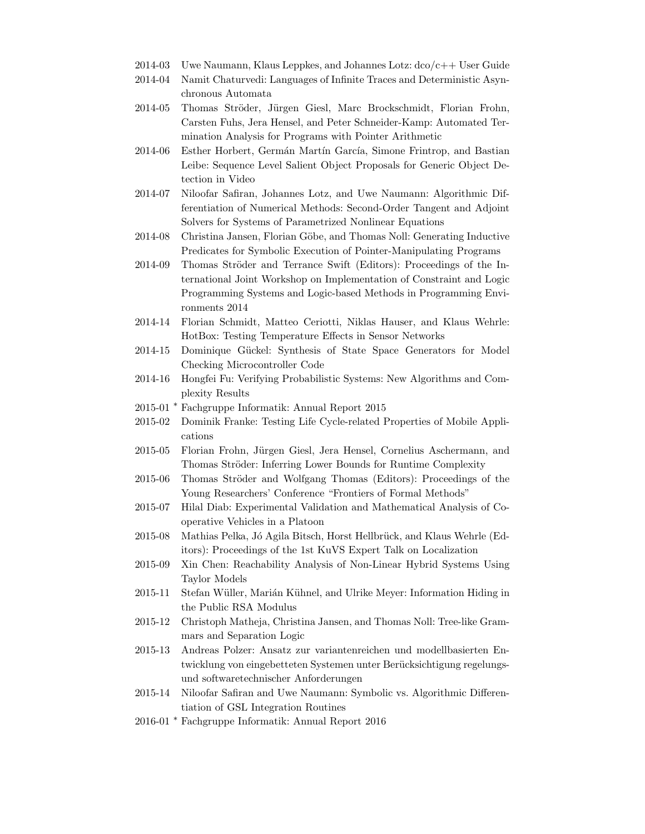- 2014-03 Uwe Naumann, Klaus Leppkes, and Johannes Lotz:  $dco/c++$  User Guide
- 2014-04 Namit Chaturvedi: Languages of Infinite Traces and Deterministic Asynchronous Automata
- 2014-05 Thomas Ströder, Jürgen Giesl, Marc Brockschmidt, Florian Frohn, Carsten Fuhs, Jera Hensel, and Peter Schneider-Kamp: Automated Termination Analysis for Programs with Pointer Arithmetic
- 2014-06 Esther Horbert, Germán Martín García, Simone Frintrop, and Bastian Leibe: Sequence Level Salient Object Proposals for Generic Object Detection in Video
- 2014-07 Niloofar Safiran, Johannes Lotz, and Uwe Naumann: Algorithmic Differentiation of Numerical Methods: Second-Order Tangent and Adjoint Solvers for Systems of Parametrized Nonlinear Equations
- 2014-08 Christina Jansen, Florian Göbe, and Thomas Noll: Generating Inductive Predicates for Symbolic Execution of Pointer-Manipulating Programs
- 2014-09 Thomas Ströder and Terrance Swift (Editors): Proceedings of the International Joint Workshop on Implementation of Constraint and Logic Programming Systems and Logic-based Methods in Programming Environments 2014
- 2014-14 Florian Schmidt, Matteo Ceriotti, Niklas Hauser, and Klaus Wehrle: HotBox: Testing Temperature Effects in Sensor Networks
- 2014-15 Dominique Gückel: Synthesis of State Space Generators for Model Checking Microcontroller Code
- 2014-16 Hongfei Fu: Verifying Probabilistic Systems: New Algorithms and Complexity Results
- 2015-01 <sup>∗</sup> Fachgruppe Informatik: Annual Report 2015
- 2015-02 Dominik Franke: Testing Life Cycle-related Properties of Mobile Applications
- 2015-05 Florian Frohn, Jürgen Giesl, Jera Hensel, Cornelius Aschermann, and Thomas Ströder: Inferring Lower Bounds for Runtime Complexity
- 2015-06 Thomas Ströder and Wolfgang Thomas (Editors): Proceedings of the Young Researchers' Conference "Frontiers of Formal Methods"
- 2015-07 Hilal Diab: Experimental Validation and Mathematical Analysis of Cooperative Vehicles in a Platoon
- 2015-08 Mathias Pelka, Jó Agila Bitsch, Horst Hellbrück, and Klaus Wehrle (Editors): Proceedings of the 1st KuVS Expert Talk on Localization
- 2015-09 Xin Chen: Reachability Analysis of Non-Linear Hybrid Systems Using Taylor Models
- 2015-11 Stefan Wüller, Marián Kühnel, and Ulrike Meyer: Information Hiding in the Public RSA Modulus
- 2015-12 Christoph Matheja, Christina Jansen, and Thomas Noll: Tree-like Grammars and Separation Logic
- 2015-13 Andreas Polzer: Ansatz zur variantenreichen und modellbasierten Entwicklung von eingebetteten Systemen unter Berücksichtigung regelungsund softwaretechnischer Anforderungen
- 2015-14 Niloofar Safiran and Uwe Naumann: Symbolic vs. Algorithmic Differentiation of GSL Integration Routines
- 2016-01 <sup>∗</sup> Fachgruppe Informatik: Annual Report 2016